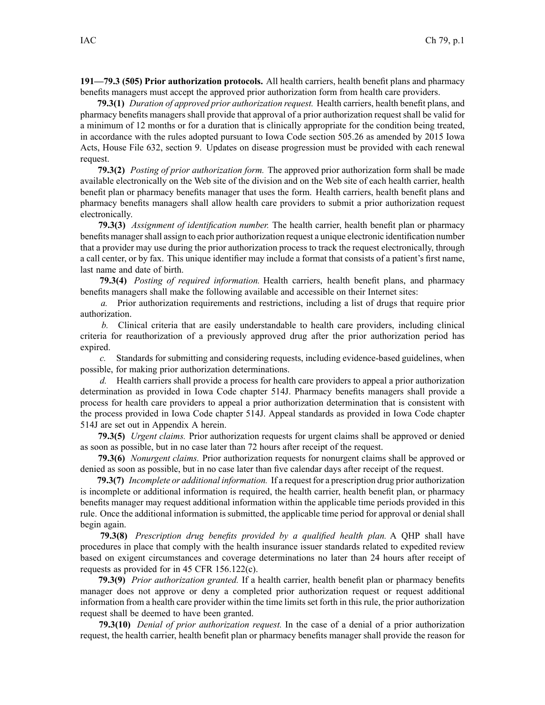**191—79.3 (505) Prior authorization protocols.** All health carriers, health benefit plans and pharmacy benefits managers must accep<sup>t</sup> the approved prior authorization form from health care providers.

**79.3(1)** *Duration of approved prior authorization request.* Health carriers, health benefit plans, and pharmacy benefits managers shall provide that approval of <sup>a</sup> prior authorization reques<sup>t</sup> shall be valid for <sup>a</sup> minimum of 12 months or for <sup>a</sup> duration that is clinically appropriate for the condition being treated, in accordance with the rules adopted pursuan<sup>t</sup> to Iowa Code section [505.26](https://www.legis.iowa.gov/docs/ico/section/505.26.pdf) as amended by 2015 Iowa Acts, House File 632, section 9. Updates on disease progression must be provided with each renewal request.

**79.3(2)** *Posting of prior authorization form.* The approved prior authorization form shall be made available electronically on the Web site of the division and on the Web site of each health carrier, health benefit plan or pharmacy benefits manager that uses the form. Health carriers, health benefit plans and pharmacy benefits managers shall allow health care providers to submit <sup>a</sup> prior authorization reques<sup>t</sup> electronically.

**79.3(3)** *Assignment of identification number.* The health carrier, health benefit plan or pharmacy benefits managershall assign to each prior authorization reques<sup>t</sup> <sup>a</sup> unique electronic identification number that <sup>a</sup> provider may use during the prior authorization process to track the reques<sup>t</sup> electronically, through <sup>a</sup> call center, or by fax. This unique identifier may include <sup>a</sup> format that consists of <sup>a</sup> patient's first name, last name and date of birth.

**79.3(4)** *Posting of required information.* Health carriers, health benefit plans, and pharmacy benefits managers shall make the following available and accessible on their Internet sites:

*a.* Prior authorization requirements and restrictions, including <sup>a</sup> list of drugs that require prior authorization.

*b.* Clinical criteria that are easily understandable to health care providers, including clinical criteria for reauthorization of <sup>a</sup> previously approved drug after the prior authorization period has expired.

*c.* Standards for submitting and considering requests, including evidence-based guidelines, when possible, for making prior authorization determinations.

*d.* Health carriers shall provide <sup>a</sup> process for health care providers to appeal <sup>a</sup> prior authorization determination as provided in Iowa Code chapter [514J](https://www.legis.iowa.gov/docs/ico/chapter/514J.pdf). Pharmacy benefits managers shall provide <sup>a</sup> process for health care providers to appeal <sup>a</sup> prior authorization determination that is consistent with the process provided in Iowa Code chapter [514J](https://www.legis.iowa.gov/docs/ico/chapter/514J.pdf). Appeal standards as provided in Iowa Code chapter [514J](https://www.legis.iowa.gov/docs/ico/chapter/514J.pdf) are set out in Appendix A herein.

**79.3(5)** *Urgent claims.* Prior authorization requests for urgen<sup>t</sup> claims shall be approved or denied as soon as possible, but in no case later than 72 hours after receipt of the request.

**79.3(6)** *Nonurgent claims.* Prior authorization requests for nonurgen<sup>t</sup> claims shall be approved or denied as soon as possible, but in no case later than five calendar days after receipt of the request.

**79.3(7)** *Incomplete or additional information.* If <sup>a</sup> reques<sup>t</sup> for <sup>a</sup> prescription drug prior authorization is incomplete or additional information is required, the health carrier, health benefit plan, or pharmacy benefits manager may reques<sup>t</sup> additional information within the applicable time periods provided in this rule. Once the additional information is submitted, the applicable time period for approval or denial shall begin again.

**79.3(8)** *Prescription drug benefits provided by <sup>a</sup> qualified health plan.* A QHP shall have procedures in place that comply with the health insurance issuer standards related to expedited review based on exigent circumstances and coverage determinations no later than 24 hours after receipt of requests as provided for in 45 CFR 156.122(c).

**79.3(9)** *Prior authorization granted.* If <sup>a</sup> health carrier, health benefit plan or pharmacy benefits manager does not approve or deny <sup>a</sup> completed prior authorization reques<sup>t</sup> or reques<sup>t</sup> additional information from <sup>a</sup> health care provider within the time limits set forth in this rule, the prior authorization reques<sup>t</sup> shall be deemed to have been granted.

**79.3(10)** *Denial of prior authorization request.* In the case of <sup>a</sup> denial of <sup>a</sup> prior authorization request, the health carrier, health benefit plan or pharmacy benefits manager shall provide the reason for